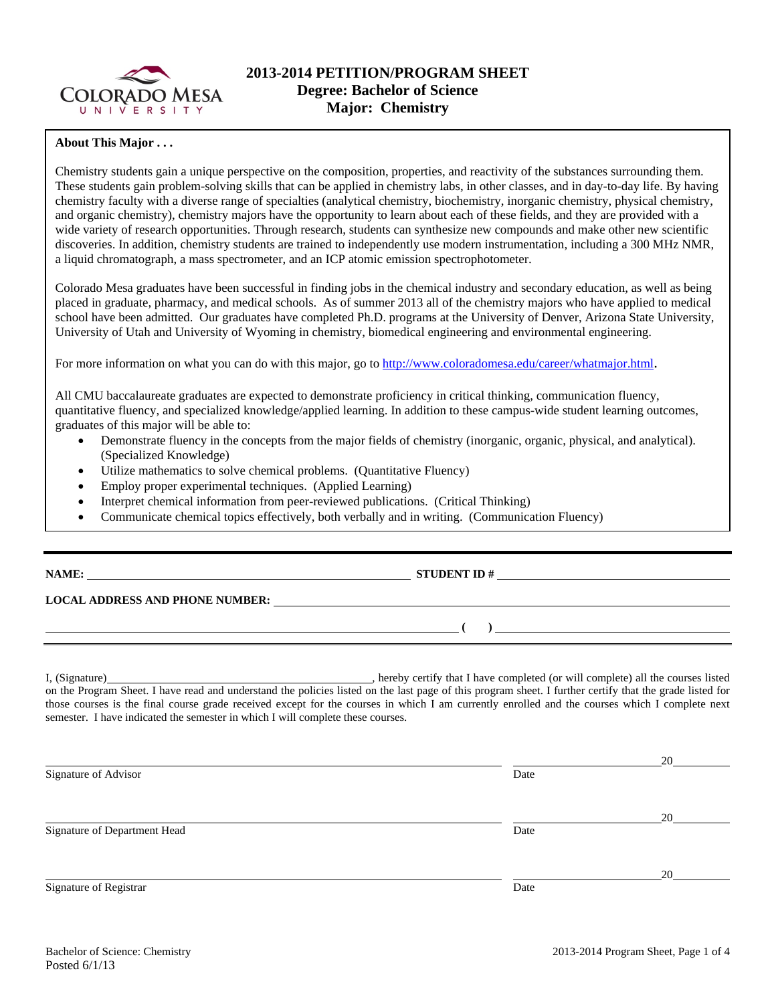

## **About This Major . . .**

Chemistry students gain a unique perspective on the composition, properties, and reactivity of the substances surrounding them. These students gain problem-solving skills that can be applied in chemistry labs, in other classes, and in day-to-day life. By having chemistry faculty with a diverse range of specialties (analytical chemistry, biochemistry, inorganic chemistry, physical chemistry, and organic chemistry), chemistry majors have the opportunity to learn about each of these fields, and they are provided with a wide variety of research opportunities. Through research, students can synthesize new compounds and make other new scientific discoveries. In addition, chemistry students are trained to independently use modern instrumentation, including a 300 MHz NMR, a liquid chromatograph, a mass spectrometer, and an ICP atomic emission spectrophotometer.

Colorado Mesa graduates have been successful in finding jobs in the chemical industry and secondary education, as well as being placed in graduate, pharmacy, and medical schools. As of summer 2013 all of the chemistry majors who have applied to medical school have been admitted. Our graduates have completed Ph.D. programs at the University of Denver, Arizona State University, University of Utah and University of Wyoming in chemistry, biomedical engineering and environmental engineering.

For more information on what you can do with this major, go to http://www.coloradomesa.edu/career/whatmajor.html.

All CMU baccalaureate graduates are expected to demonstrate proficiency in critical thinking, communication fluency, quantitative fluency, and specialized knowledge/applied learning. In addition to these campus-wide student learning outcomes, graduates of this major will be able to:

- Demonstrate fluency in the concepts from the major fields of chemistry (inorganic, organic, physical, and analytical). (Specialized Knowledge)
- Utilize mathematics to solve chemical problems. (Quantitative Fluency)
- Employ proper experimental techniques. (Applied Learning)
- Interpret chemical information from peer-reviewed publications. (Critical Thinking)
- Communicate chemical topics effectively, both verbally and in writing. (Communication Fluency)

**LOCAL ADDRESS AND PHONE NUMBER:**

 $\lambda$ 

**NAME: STUDENT ID #**

I, (Signature) , hereby certify that I have completed (or will complete) all the courses listed on the Program Sheet. I have read and understand the policies listed on the last page of this program sheet. I further certify that the grade listed for those courses is the final course grade received except for the courses in which I am currently enrolled and the courses which I complete next semester. I have indicated the semester in which I will complete these courses.

<u>20</u> Signature of Advisor Date <u>20</u> Signature of Department Head Date Date of Department Head <u>20</u> Signature of Registrar Date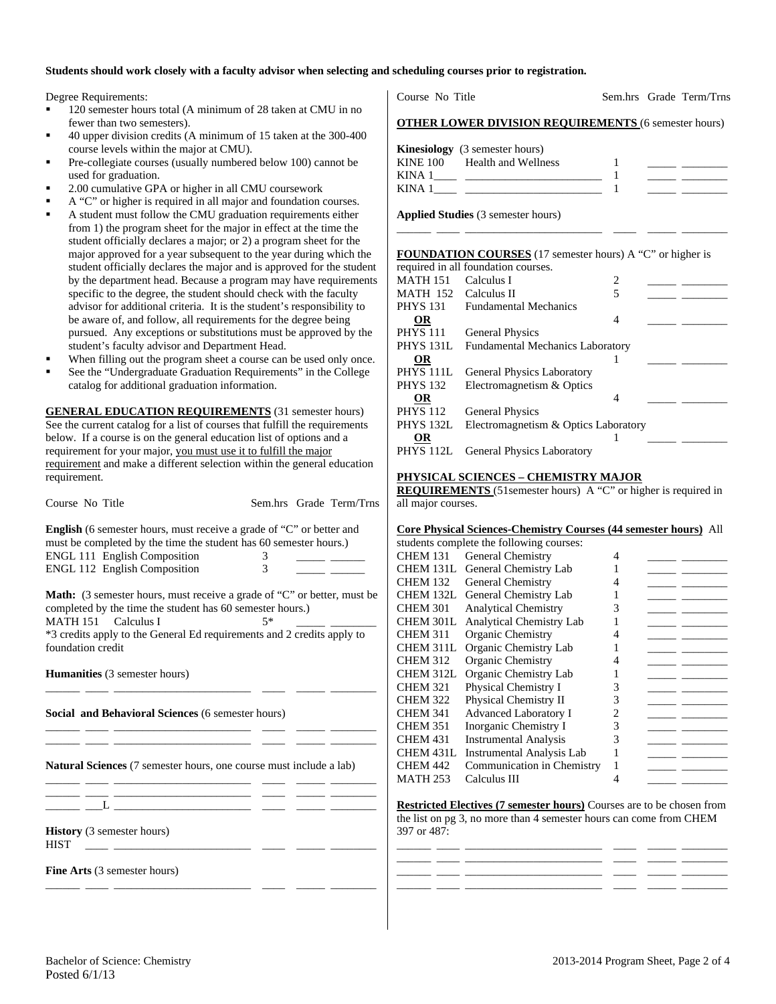## **Students should work closely with a faculty advisor when selecting and scheduling courses prior to registration.**

Degree Requirements:

- 120 semester hours total (A minimum of 28 taken at CMU in no fewer than two semesters).
- 40 upper division credits (A minimum of 15 taken at the 300-400 course levels within the major at CMU).
- Pre-collegiate courses (usually numbered below 100) cannot be used for graduation.
- 2.00 cumulative GPA or higher in all CMU coursework
- A "C" or higher is required in all major and foundation courses.
- A student must follow the CMU graduation requirements either from 1) the program sheet for the major in effect at the time the student officially declares a major; or 2) a program sheet for the major approved for a year subsequent to the year during which the student officially declares the major and is approved for the student by the department head. Because a program may have requirements specific to the degree, the student should check with the faculty advisor for additional criteria. It is the student's responsibility to be aware of, and follow, all requirements for the degree being pursued. Any exceptions or substitutions must be approved by the student's faculty advisor and Department Head.
- When filling out the program sheet a course can be used only once.
- See the "Undergraduate Graduation Requirements" in the College catalog for additional graduation information.

**GENERAL EDUCATION REQUIREMENTS** (31 semester hours) See the current catalog for a list of courses that fulfill the requirements below. If a course is on the general education list of options and a requirement for your major, you must use it to fulfill the major requirement and make a different selection within the general education requirement.

Course No Title Sem.hrs Grade Term/Trns

**English** (6 semester hours, must receive a grade of "C" or better and must be completed by the time the student has 60 semester hours.) ENGL 111 English Composition 3 ENGL 112 English Composition 3

**Math:** (3 semester hours, must receive a grade of "C" or better, must be completed by the time the student has 60 semester hours.)<br>MATH 151 Calculus I  $5*$ 

 $MATH 151$  Calculus I \*3 credits apply to the General Ed requirements and 2 credits apply to

foundation credit

\_\_\_\_\_\_ \_\_\_\_ \_\_\_\_\_\_\_\_\_\_\_\_\_\_\_\_\_\_\_\_\_\_\_\_ \_\_\_\_ \_\_\_\_\_ \_\_\_\_\_\_\_\_

\_\_\_\_\_\_ \_\_\_\_ \_\_\_\_\_\_\_\_\_\_\_\_\_\_\_\_\_\_\_\_\_\_\_\_ \_\_\_\_ \_\_\_\_\_ \_\_\_\_\_\_\_\_ \_\_\_\_\_\_ \_\_\_\_ \_\_\_\_\_\_\_\_\_\_\_\_\_\_\_\_\_\_\_\_\_\_\_\_ \_\_\_\_ \_\_\_\_\_ \_\_\_\_\_\_\_\_

\_\_\_\_\_\_ \_\_\_\_ \_\_\_\_\_\_\_\_\_\_\_\_\_\_\_\_\_\_\_\_\_\_\_\_ \_\_\_\_ \_\_\_\_\_ \_\_\_\_\_\_\_\_

\_\_\_\_\_\_ \_\_\_\_ \_\_\_\_\_\_\_\_\_\_\_\_\_\_\_\_\_\_\_\_\_\_\_\_ \_\_\_\_ \_\_\_\_\_ \_\_\_\_\_\_\_\_

**Humanities** (3 semester hours)

**Social and Behavioral Sciences** (6 semester hours)

**Natural Sciences** (7 semester hours, one course must include a lab)

\_\_\_\_\_\_ \_\_\_\_ \_\_\_\_\_\_\_\_\_\_\_\_\_\_\_\_\_\_\_\_\_\_\_\_ \_\_\_\_ \_\_\_\_\_ \_\_\_\_\_\_\_\_  $\perp$   $\perp$   $\perp$ 

**History** (3 semester hours)

 $HIST \tightharpoonup \underline{\hspace{2cm}}$ 

**Fine Arts** (3 semester hours)

Course No Title Sem.hrs Grade Term/Trns

| <b>OTHER LOWER DIVISION REQUIREMENTS (6 semester hours)</b> |  |
|-------------------------------------------------------------|--|
|-------------------------------------------------------------|--|

|                 | <b>Kinesiology</b> (3 semester hours) |  |
|-----------------|---------------------------------------|--|
| <b>KINE 100</b> | Health and Wellness                   |  |
| KINA 1          |                                       |  |
| KINA 1          |                                       |  |

\_\_\_\_\_\_ \_\_\_\_ \_\_\_\_\_\_\_\_\_\_\_\_\_\_\_\_\_\_\_\_\_\_\_\_ \_\_\_\_ \_\_\_\_\_ \_\_\_\_\_\_\_\_

**Applied Studies** (3 semester hours)

## **FOUNDATION COURSES** (17 semester hours) A "C" or higher is

|                      | required in all foundation courses.     |   |  |  |
|----------------------|-----------------------------------------|---|--|--|
| <b>MATH 151</b>      | Calculus I                              | 2 |  |  |
| MATH 152             | Calculus II                             |   |  |  |
| PHYS 131             | <b>Fundamental Mechanics</b>            |   |  |  |
| OR                   |                                         | 4 |  |  |
| <b>PHYS 111</b>      | <b>General Physics</b>                  |   |  |  |
| PHYS <sub>131L</sub> | <b>Fundamental Mechanics Laboratory</b> |   |  |  |
| OR                   |                                         |   |  |  |
| PHYS 111L            | <b>General Physics Laboratory</b>       |   |  |  |
| <b>PHYS 132</b>      | Electromagnetism & Optics               |   |  |  |
| OR                   |                                         | 4 |  |  |
| <b>PHYS 112</b>      | <b>General Physics</b>                  |   |  |  |
| PHYS 132L            | Electromagnetism & Optics Laboratory    |   |  |  |
| OR                   |                                         |   |  |  |
| PHYS 112L            | <b>General Physics Laboratory</b>       |   |  |  |

#### **PHYSICAL SCIENCES – CHEMISTRY MAJOR**

**REQUIREMENTS** (51semester hours) A "C" or higher is required in all major courses.

#### **Core Physical Sciences-Chemistry Courses (44 semester hours)** All

| students complete the following courses: |                                  |   |  |  |  |
|------------------------------------------|----------------------------------|---|--|--|--|
| <b>CHEM 131</b>                          | General Chemistry                |   |  |  |  |
| CHEM 131L                                | General Chemistry Lab            |   |  |  |  |
| <b>CHEM 132</b>                          | <b>General Chemistry</b>         |   |  |  |  |
| <b>CHEM 132L</b>                         | General Chemistry Lab            |   |  |  |  |
| <b>CHEM 301</b>                          | <b>Analytical Chemistry</b>      |   |  |  |  |
| CHEM 301L                                | <b>Analytical Chemistry Lab</b>  |   |  |  |  |
| <b>CHEM 311</b>                          | Organic Chemistry                |   |  |  |  |
| CHEM 311L                                | Organic Chemistry Lab            |   |  |  |  |
| <b>CHEM 312</b>                          | Organic Chemistry                |   |  |  |  |
| <b>CHEM 312L</b>                         | Organic Chemistry Lab            |   |  |  |  |
| <b>CHEM 321</b>                          | Physical Chemistry I             | 3 |  |  |  |
| <b>CHEM 322</b>                          | Physical Chemistry II            | 3 |  |  |  |
| <b>CHEM 341</b>                          | <b>Advanced Laboratory I</b>     |   |  |  |  |
| <b>CHEM 351</b>                          | Inorganic Chemistry I            | 3 |  |  |  |
| <b>CHEM 431</b>                          | <b>Instrumental Analysis</b>     | 3 |  |  |  |
| CHEM 431L                                | <b>Instrumental Analysis Lab</b> |   |  |  |  |
| <b>CHEM 442</b>                          | Communication in Chemistry       |   |  |  |  |
| MATH 253                                 | Calculus III                     |   |  |  |  |

**Restricted Electives (7 semester hours)** Courses are to be chosen from the list on pg 3, no more than 4 semester hours can come from CHEM 397 or 487:

\_\_\_\_\_\_ \_\_\_\_ \_\_\_\_\_\_\_\_\_\_\_\_\_\_\_\_\_\_\_\_\_\_\_\_ \_\_\_\_ \_\_\_\_\_ \_\_\_\_\_\_\_\_ \_\_\_\_\_\_ \_\_\_\_ \_\_\_\_\_\_\_\_\_\_\_\_\_\_\_\_\_\_\_\_\_\_\_\_ \_\_\_\_ \_\_\_\_\_ \_\_\_\_\_\_\_\_ \_\_\_\_\_\_ \_\_\_\_ \_\_\_\_\_\_\_\_\_\_\_\_\_\_\_\_\_\_\_\_\_\_\_\_ \_\_\_\_ \_\_\_\_\_ \_\_\_\_\_\_\_\_ \_\_\_\_\_\_ \_\_\_\_ \_\_\_\_\_\_\_\_\_\_\_\_\_\_\_\_\_\_\_\_\_\_\_\_ \_\_\_\_ \_\_\_\_\_ \_\_\_\_\_\_\_\_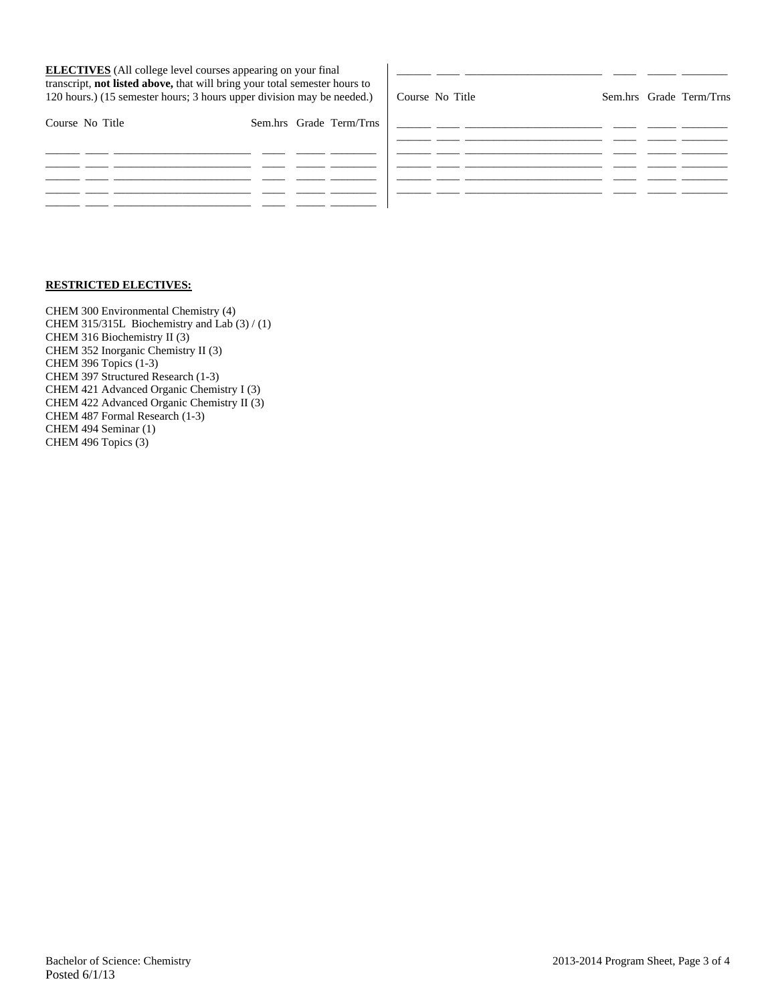| <b>ELECTIVES</b> (All college level courses appearing on your final<br>transcript, not listed above, that will bring your total semester hours to<br>120 hours.) (15 semester hours; 3 hours upper division may be needed.) |                         | Course No Title | Sem.hrs Grade Term/Trns |  |
|-----------------------------------------------------------------------------------------------------------------------------------------------------------------------------------------------------------------------------|-------------------------|-----------------|-------------------------|--|
| Course No Title                                                                                                                                                                                                             | Sem.hrs Grade Term/Trns |                 |                         |  |
|                                                                                                                                                                                                                             |                         |                 |                         |  |
|                                                                                                                                                                                                                             |                         |                 |                         |  |

# **RESTRICTED ELECTIVES:**

CHEM 300 Environmental Chemistry (4) CHEM 315/315L Biochemistry and Lab (3) / (1) CHEM 316 Biochemistry II (3) CHEM 352 Inorganic Chemistry II (3) CHEM 396 Topics (1-3) CHEM 397 Structured Research (1-3) CHEM 421 Advanced Organic Chemistry I (3) CHEM 422 Advanced Organic Chemistry II (3) CHEM 487 Formal Research (1-3) CHEM 494 Seminar (1) CHEM 496 Topics (3)